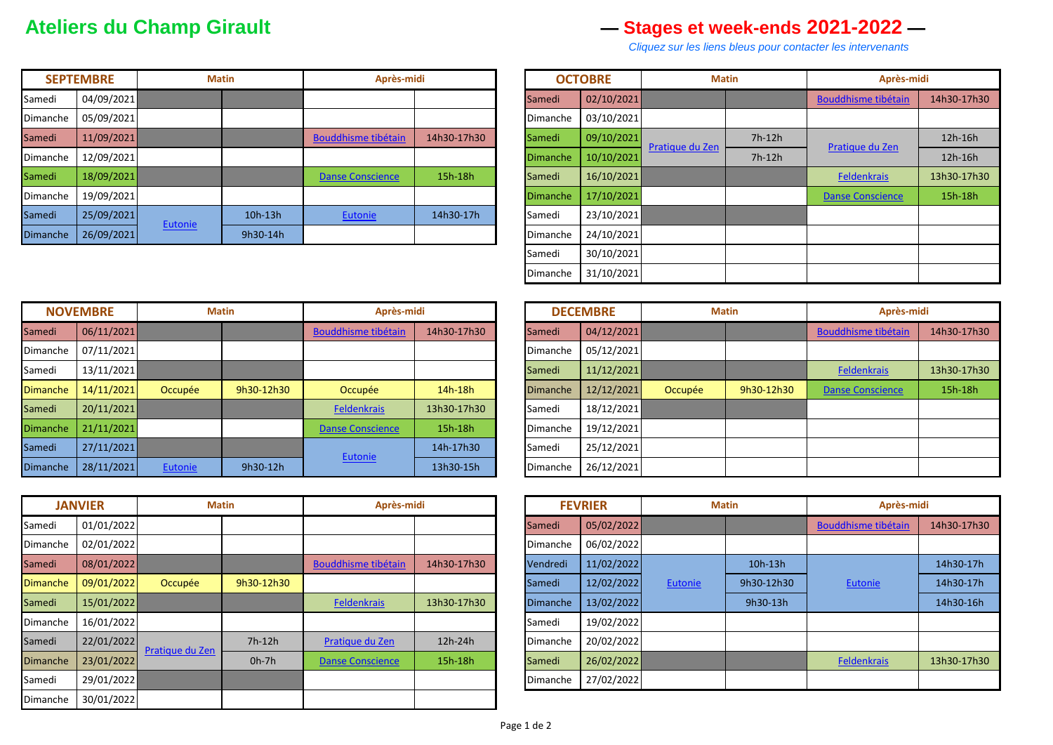## **Ateliers du Champ Girault — Stages et week-ends 2021-2022 —**

 *Cliquez sur les liens bleus pour contacter les intervenants*

|          | <b>SEPTEMBRE</b> | <b>Matin</b> |           | Après-midi              |             |                 | <b>OCTOBRE</b> | <b>Matin</b>    |          | Après-midi                 |             |
|----------|------------------|--------------|-----------|-------------------------|-------------|-----------------|----------------|-----------------|----------|----------------------------|-------------|
| Samedi   | 04/09/2021       |              |           |                         |             | Samedi          | 02/10/2021     |                 |          | <b>Bouddhisme tibétain</b> | 14h30-17h30 |
| Dimanche | 05/09/2021       |              |           |                         |             | Dimanche        | 03/10/2021     |                 |          |                            |             |
| Samedi   | 11/09/2021       |              |           | Bouddhisme tibétain     | 14h30-17h30 | Samedi          | 09/10/2021     | Pratique du Zen | $7h-12h$ | Pratique du Zen            | 12h-16h     |
| Dimanche | 12/09/2021       |              |           |                         |             | <b>Dimanche</b> | 10/10/2021     |                 | $7h-12h$ |                            | 12h-16h     |
| Samedi   | 18/09/2021       |              |           | <b>Danse Conscience</b> | 15h-18h     | Samedi          | 16/10/2021     |                 |          | Feldenkrais                | 13h30-17h30 |
| Dimanche | 19/09/2021       |              |           |                         |             | <b>Dimanche</b> | 17/10/2021     |                 |          | <b>Danse Conscience</b>    | 15h-18h     |
| Samedi   | 25/09/2021       |              | $10h-13h$ | <b>Eutonie</b>          | 14h30-17h   | Samedi          | 23/10/2021     |                 |          |                            |             |
| Dimanche | 26/09/2021       | Eutonie      | 9h30-14h  |                         |             | Dimanche        | 24/10/2021     |                 |          |                            |             |

|          | <b>OCTOBRE</b> | <b>Matin</b>    |          | Après-midi                 |             |  |  |
|----------|----------------|-----------------|----------|----------------------------|-------------|--|--|
| Samedi   | 02/10/2021     |                 |          | <b>Bouddhisme tibétain</b> | 14h30-17h30 |  |  |
| Dimanche | 03/10/2021     |                 |          |                            |             |  |  |
| Samedi   | 09/10/2021     | Pratique du Zen | $7h-12h$ | Pratique du Zen            | 12h-16h     |  |  |
| Dimanche | 10/10/2021     |                 | $7h-12h$ |                            | 12h-16h     |  |  |
| Samedi   | 16/10/2021     |                 |          | <b>Feldenkrais</b>         | 13h30-17h30 |  |  |
| Dimanche | 17/10/2021     |                 |          | <b>Danse Conscience</b>    | 15h-18h     |  |  |
| Samedi   | 23/10/2021     |                 |          |                            |             |  |  |
| Dimanche | 24/10/2021     |                 |          |                            |             |  |  |
| Samedi   | 30/10/2021     |                 |          |                            |             |  |  |
| Dimanche | 31/10/2021     |                 |          |                            |             |  |  |

| <b>NOVEMBRE</b> |            | <b>Matin</b> |            | Après-midi                 |             | <b>DECEMBRE</b> |            | <b>Matin</b> |            | Après-midi                 |             |
|-----------------|------------|--------------|------------|----------------------------|-------------|-----------------|------------|--------------|------------|----------------------------|-------------|
| Samedi          | 06/11/2021 |              |            | <b>Bouddhisme tibétain</b> | 14h30-17h30 | Samedi          | 04/12/2021 |              |            | <b>Bouddhisme tibétain</b> | 14h30-17h30 |
| Dimanche        | 07/11/2021 |              |            |                            |             | Dimanche        | 05/12/2021 |              |            |                            |             |
| Samedi          | 13/11/2021 |              |            |                            |             | Samedi          | 11/12/2021 |              |            | <b>Feldenkrais</b>         | 13h30-17h30 |
| <b>Dimanche</b> | 14/11/2021 | Occupée      | 9h30-12h30 | Occupée                    | 14h-18h     | <b>Dimanche</b> | 12/12/2021 | Occupée      | 9h30-12h30 | <b>Danse Conscience</b>    | 15h-18h     |
| Samedi          | 20/11/2021 |              |            | <b>Feldenkrais</b>         | 13h30-17h30 | Samedi          | 18/12/2021 |              |            |                            |             |
| <b>Dimanche</b> | 21/11/2021 |              |            | <b>Danse Conscience</b>    | 15h-18h     | Dimanche        | 19/12/2021 |              |            |                            |             |
| Samedi          | 27/11/2021 |              |            |                            | 14h-17h30   | Samedi          | 25/12/2021 |              |            |                            |             |
| Dimanche        | 28/11/2021 | Eutonie      | 9h30-12h   | <b>Eutonie</b>             | 13h30-15h   | Dimanche        | 26/12/2021 |              |            |                            |             |

|                 | <b>JANVIER</b> | <b>Matin</b>    |            | Après-midi                 |             | <b>FEVRIER</b>  |            | <b>Matin</b> |            | Après-midi                 |             |
|-----------------|----------------|-----------------|------------|----------------------------|-------------|-----------------|------------|--------------|------------|----------------------------|-------------|
| Samedi          | 01/01/2022     |                 |            |                            |             | Samedi          | 05/02/2022 |              |            | <b>Bouddhisme tibétain</b> | 14h30-17h30 |
| Dimanche        | 02/01/2022     |                 |            |                            |             | Dimanche        | 06/02/2022 |              |            |                            |             |
| Samedi          | 08/01/2022     |                 |            | <b>Bouddhisme tibétain</b> | 14h30-17h30 | Vendredi        | 11/02/2022 |              | $10h-13h$  |                            | 14h30-17h   |
| <b>Dimanche</b> | 09/01/2022     | Occupée         | 9h30-12h30 |                            |             | Samedi          | 12/02/2022 | Eutonie      | 9h30-12h30 | Eutonie                    | 14h30-17h   |
| Samedi          | 15/01/2022     |                 |            | <b>Feldenkrais</b>         | 13h30-17h30 | <b>Dimanche</b> | 13/02/2022 |              | 9h30-13h   |                            | 14h30-16h   |
| Dimanche        | 16/01/2022     |                 |            |                            |             | Samedi          | 19/02/2022 |              |            |                            |             |
| Samedi          | 22/01/2022     |                 | $7h-12h$   | Pratique du Zen            | 12h-24h     | Dimanche        | 20/02/2022 |              |            |                            |             |
| <b>Dimanche</b> | 23/01/2022     | Pratique du Zen | $0h-7h$    | <b>Danse Conscience</b>    | 15h-18h     | Samedi          | 26/02/2022 |              |            | Feldenkrais                | 13h30-17h30 |
| Samedi          | 29/01/2022     |                 |            |                            |             | Dimanche        | 27/02/2022 |              |            |                            |             |
| Dimanche        | 30/01/2022     |                 |            |                            |             |                 |            |              |            |                            |             |

| Après-midi   |             |                 | <b>DECEMBRE</b> | <b>Matin</b> |            | Après-midi                 |             |
|--------------|-------------|-----------------|-----------------|--------------|------------|----------------------------|-------------|
| ibétain      | 14h30-17h30 | Samedi          | 04/12/2021      |              |            | <b>Bouddhisme tibétain</b> | 14h30-17h30 |
|              |             | Dimanche        | 05/12/2021      |              |            |                            |             |
|              |             | Samedi          | 11/12/2021      |              |            | <b>Feldenkrais</b>         | 13h30-17h30 |
|              | 14h-18h     | <b>Dimanche</b> | 12/12/2021      | Occupée      | 9h30-12h30 | <b>Danse Conscience</b>    | 15h-18h     |
| <u>ais</u>   | 13h30-17h30 | Samedi          | 18/12/2021      |              |            |                            |             |
| <u>ience</u> | 15h-18h     | <b>Dimanche</b> | 19/12/2021      |              |            |                            |             |
|              | 14h-17h30   | Samedi          | 25/12/2021      |              |            |                            |             |
|              | 13h30-15h   | Dimanche        | 26/12/2021      |              |            |                            |             |

|                 | <b>FEVRIER</b> | <b>Matin</b>   |            | Après-midi                 |             |  |  |
|-----------------|----------------|----------------|------------|----------------------------|-------------|--|--|
| Samedi          | 05/02/2022     |                |            | <b>Bouddhisme tibétain</b> | 14h30-17h30 |  |  |
| Dimanche        | 06/02/2022     |                |            |                            |             |  |  |
| Vendredi        | 11/02/2022     |                | 10h-13h    |                            | 14h30-17h   |  |  |
| Samedi          | 12/02/2022     | <b>Eutonie</b> | 9h30-12h30 | <b>Eutonie</b>             | 14h30-17h   |  |  |
| <b>Dimanche</b> | 13/02/2022     |                | 9h30-13h   |                            | 14h30-16h   |  |  |
| Samedi          | 19/02/2022     |                |            |                            |             |  |  |
| Dimanche        | 20/02/2022     |                |            |                            |             |  |  |
| Samedi          | 26/02/2022     |                |            | <b>Feldenkrais</b>         | 13h30-17h30 |  |  |
| Dimanche        | 27/02/2022     |                |            |                            |             |  |  |